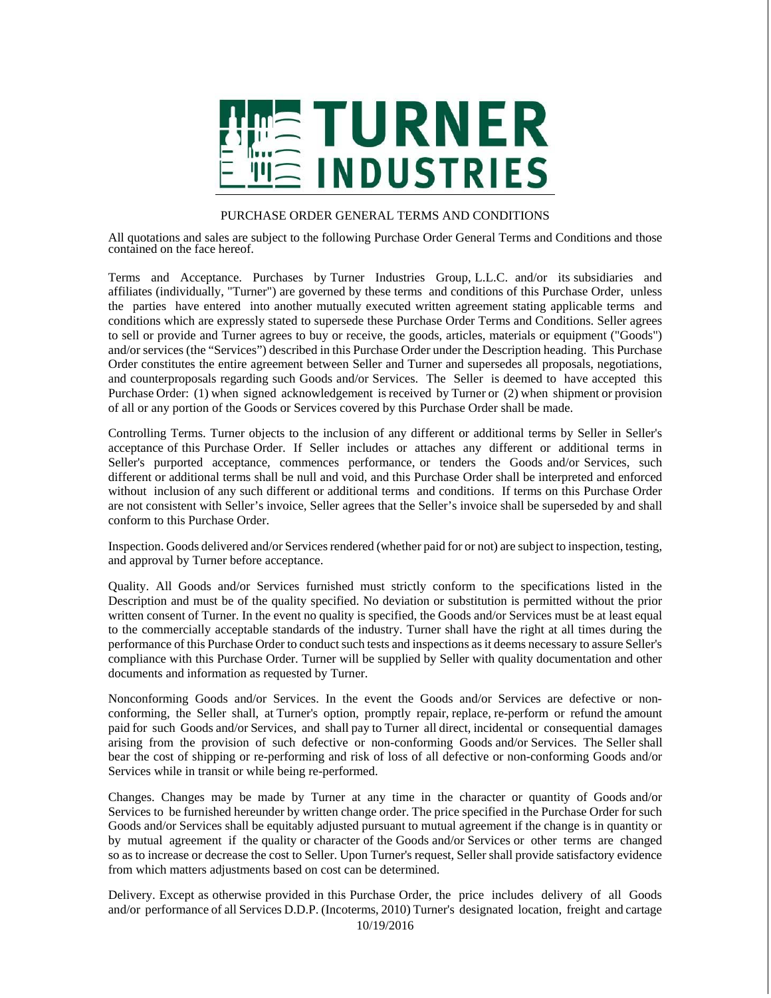

## PURCHASE ORDER GENERAL TERMS AND CONDITIONS

All quotations and sales are subject to the following Purchase Order General Terms and Conditions and those contained on the face hereof.

Terms and Acceptance. Purchases by Turner Industries Group, L.L.C. and/or its subsidiaries and affiliates (individually, "Turner") are governed by these terms and conditions of this Purchase Order, unless the parties have entered into another mutually executed written agreement stating applicable terms and conditions which are expressly stated to supersede these Purchase Order Terms and Conditions. Seller agrees to sell or provide and Turner agrees to buy or receive, the goods, articles, materials or equipment ("Goods") and/or services (the "Services") described in this Purchase Order under the Description heading. This Purchase Order constitutes the entire agreement between Seller and Turner and supersedes all proposals, negotiations, and counterproposals regarding such Goods and/or Services. The Seller is deemed to have accepted this Purchase Order: (1) when signed acknowledgement is received by Turner or (2) when shipment or provision of all or any portion of the Goods or Services covered by this Purchase Order shall be made.

Controlling Terms. Turner objects to the inclusion of any different or additional terms by Seller in Seller's acceptance of this Purchase Order. If Seller includes or attaches any different or additional terms in Seller's purported acceptance, commences performance, or tenders the Goods and/or Services, such different or additional terms shall be null and void, and this Purchase Order shall be interpreted and enforced without inclusion of any such different or additional terms and conditions. If terms on this Purchase Order are not consistent with Seller's invoice, Seller agrees that the Seller's invoice shall be superseded by and shall conform to this Purchase Order.

Inspection. Goods delivered and/or Services rendered (whether paid for or not) are subject to inspection, testing, and approval by Turner before acceptance.

Quality. All Goods and/or Services furnished must strictly conform to the specifications listed in the Description and must be of the quality specified. No deviation or substitution is permitted without the prior written consent of Turner. In the event no quality is specified, the Goods and/or Services must be at least equal to the commercially acceptable standards of the industry. Turner shall have the right at all times during the performance of this Purchase Order to conduct such tests and inspections as it deems necessary to assure Seller's compliance with this Purchase Order. Turner will be supplied by Seller with quality documentation and other documents and information as requested by Turner.

Nonconforming Goods and/or Services. In the event the Goods and/or Services are defective or nonconforming, the Seller shall, at Turner's option, promptly repair, replace, re-perform or refund the amount paid for such Goods and/or Services, and shall pay to Turner all direct, incidental or consequential damages arising from the provision of such defective or non-conforming Goods and/or Services. The Seller shall bear the cost of shipping or re-performing and risk of loss of all defective or non-conforming Goods and/or Services while in transit or while being re-performed.

Changes. Changes may be made by Turner at any time in the character or quantity of Goods and/or Services to be furnished hereunder by written change order. The price specified in the Purchase Order for such Goods and/or Services shall be equitably adjusted pursuant to mutual agreement if the change is in quantity or by mutual agreement if the quality or character of the Goods and/or Services or other terms are changed so as to increase or decrease the cost to Seller. Upon Turner's request, Seller shall provide satisfactory evidence from which matters adjustments based on cost can be determined.

Delivery. Except as otherwise provided in this Purchase Order, the price includes delivery of all Goods and/or performance of all Services D.D.P. (Incoterms, 2010) Turner's designated location, freight and cartage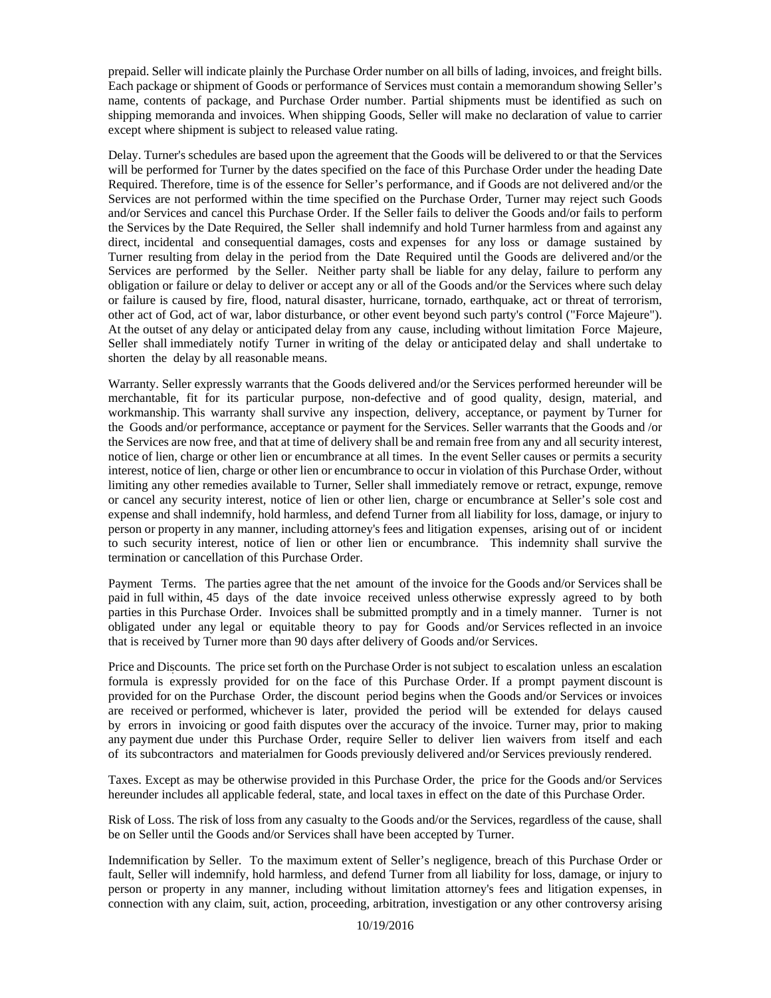prepaid. Seller will indicate plainly the Purchase Order number on all bills of lading, invoices, and freight bills. Each package or shipment of Goods or performance of Services must contain a memorandum showing Seller's name, contents of package, and Purchase Order number. Partial shipments must be identified as such on shipping memoranda and invoices. When shipping Goods, Seller will make no declaration of value to carrier except where shipment is subject to released value rating.

Delay. Turner's schedules are based upon the agreement that the Goods will be delivered to or that the Services will be performed for Turner by the dates specified on the face of this Purchase Order under the heading Date Required. Therefore, time is of the essence for Seller's performance, and if Goods are not delivered and/or the Services are not performed within the time specified on the Purchase Order, Turner may reject such Goods and/or Services and cancel this Purchase Order. If the Seller fails to deliver the Goods and/or fails to perform the Services by the Date Required, the Seller shall indemnify and hold Turner harmless from and against any direct, incidental and consequential damages, costs and expenses for any loss or damage sustained by Turner resulting from delay in the period from the Date Required until the Goods are delivered and/or the Services are performed by the Seller. Neither party shall be liable for any delay, failure to perform any obligation or failure or delay to deliver or accept any or all of the Goods and/or the Services where such delay or failure is caused by fire, flood, natural disaster, hurricane, tornado, earthquake, act or threat of terrorism, other act of God, act of war, labor disturbance, or other event beyond such party's control ("Force Majeure"). At the outset of any delay or anticipated delay from any cause, including without limitation Force Majeure, Seller shall immediately notify Turner in writing of the delay or anticipated delay and shall undertake to shorten the delay by all reasonable means.

Warranty. Seller expressly warrants that the Goods delivered and/or the Services performed hereunder will be merchantable, fit for its particular purpose, non-defective and of good quality, design, material, and workmanship. This warranty shall survive any inspection, delivery, acceptance, or payment by Turner for the Goods and/or performance, acceptance or payment for the Services. Seller warrants that the Goods and /or the Services are now free, and that at time of delivery shall be and remain free from any and all security interest, notice of lien, charge or other lien or encumbrance at all times. In the event Seller causes or permits a security interest, notice of lien, charge or other lien or encumbrance to occur in violation of this Purchase Order, without limiting any other remedies available to Turner, Seller shall immediately remove or retract, expunge, remove or cancel any security interest, notice of lien or other lien, charge or encumbrance at Seller's sole cost and expense and shall indemnify, hold harmless, and defend Turner from all liability for loss, damage, or injury to person or property in any manner, including attorney's fees and litigation expenses, arising out of or incident to such security interest, notice of lien or other lien or encumbrance. This indemnity shall survive the termination or cancellation of this Purchase Order.

Payment Terms. The parties agree that the net amount of the invoice for the Goods and/or Services shall be paid in full within, 45 days of the date invoice received unless otherwise expressly agreed to by both parties in this Purchase Order. Invoices shall be submitted promptly and in a timely manner. Turner is not obligated under any legal or equitable theory to pay for Goods and/or Services reflected in an invoice that is received by Turner more than 90 days after delivery of Goods and/or Services.

Price and Discounts. The price set forth on the Purchase Order is not subject to escalation unless an escalation formula is expressly provided for on the face of this Purchase Order. If a prompt payment discount is provided for on the Purchase Order, the discount period begins when the Goods and/or Services or invoices are received or performed, whichever is later, provided the period will be extended for delays caused by errors in invoicing or good faith disputes over the accuracy of the invoice. Turner may, prior to making any payment due under this Purchase Order, require Seller to deliver lien waivers from itself and each of its subcontractors and materialmen for Goods previously delivered and/or Services previously rendered.

Taxes. Except as may be otherwise provided in this Purchase Order, the price for the Goods and/or Services hereunder includes all applicable federal, state, and local taxes in effect on the date of this Purchase Order.

Risk of Loss. The risk of loss from any casualty to the Goods and/or the Services, regardless of the cause, shall be on Seller until the Goods and/or Services shall have been accepted by Turner.

Indemnification by Seller. To the maximum extent of Seller's negligence, breach of this Purchase Order or fault, Seller will indemnify, hold harmless, and defend Turner from all liability for loss, damage, or injury to person or property in any manner, including without limitation attorney's fees and litigation expenses, in connection with any claim, suit, action, proceeding, arbitration, investigation or any other controversy arising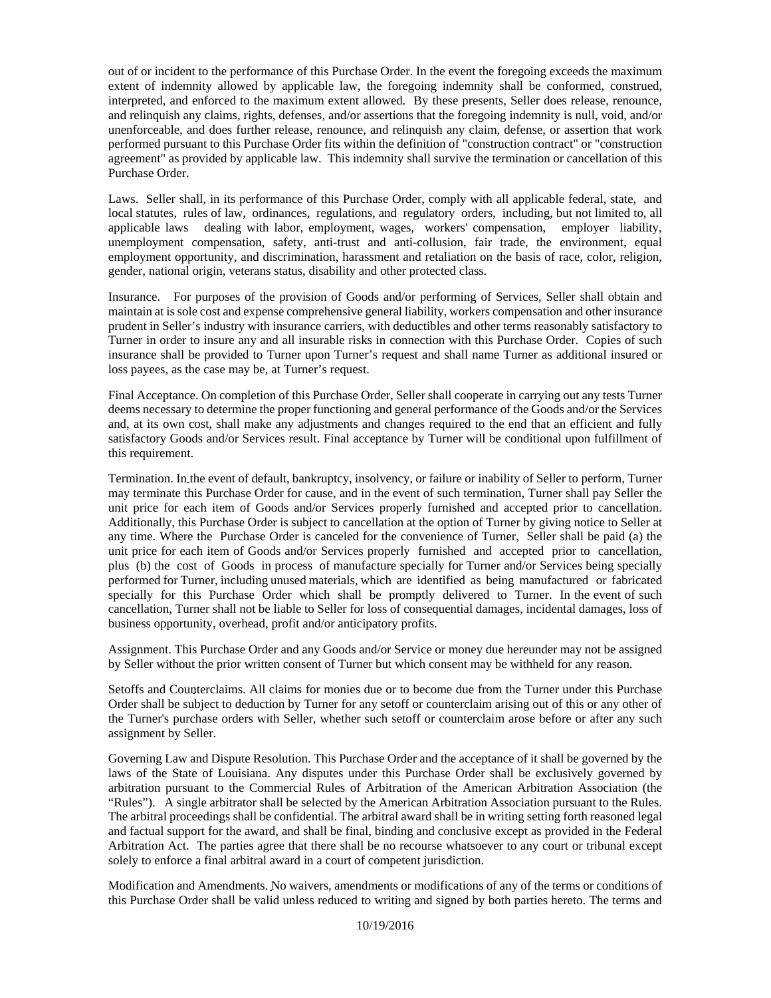out of or incident to the performance of this Purchase Order. In the event the foregoing exceeds the maximum extent of indemnity allowed by applicable law, the foregoing indemnity shall be conformed, construed, interpreted, and enforced to the maximum extent allowed. By these presents, Seller does release, renounce, and relinquish any claims, rights, defenses, and/or assertions that the foregoing indemnity is null, void, and/or unenforceable, and does further release, renounce, and relinquish any claim, defense, or assertion that work performed pursuant to this Purchase Order fits within the definition of "construction contract" or "construction agreement" as provided by applicable law. This indemnity shall survive the termination or cancellation of this Purchase Order.

Laws. Seller shall, in its performance of this Purchase Order, comply with all applicable federal, state, and local statutes, rules of law, ordinances, regulations, and regulatory orders, including, but not limited to, all applicable laws dealing with labor, employment, wages, workers' compensation, employer liability, unemployment compensation, safety, anti-trust and anti-collusion, fair trade, the environment, equal employment opportunity, and discrimination, harassment and retaliation on the basis of race, color, religion, gender, national origin, veterans status, disability and other protected class.

Insurance. For purposes of the provision of Goods and/or performing of Services, Seller shall obtain and maintain at is sole cost and expense comprehensive general liability, workers compensation and other insurance prudent in Seller's industry with insurance carriers, with deductibles and other terms reasonably satisfactory to Turner in order to insure any and all insurable risks in connection with this Purchase Order. Copies of such insurance shall be provided to Turner upon Turner's request and shall name Turner as additional insured or loss payees, as the case may be, at Turner's request.

Final Acceptance. On completion of this Purchase Order, Seller shall cooperate in carrying out any tests Turner deems necessary to determine the proper functioning and general performance of the Goods and/or the Services and, at its own cost, shall make any adjustments and changes required to the end that an efficient and fully satisfactory Goods and/or Services result. Final acceptance by Turner will be conditional upon fulfillment of this requirement.

Termination. In the event of default, bankruptcy, insolvency, or failure or inability of Seller to perform, Turner may terminate this Purchase Order for cause, and in the event of such termination, Turner shall pay Seller the unit price for each item of Goods and/or Services properly furnished and accepted prior to cancellation. Additionally, this Purchase Order is subject to cancellation at the option of Turner by giving notice to Seller at any time. Where the Purchase Order is canceled for the convenience of Turner, Seller shall be paid (a) the unit price for each item of Goods and/or Services properly furnished and accepted prior to cancellation, plus (b) the cost of Goods in process of manufacture specially for Turner and/or Services being specially performed for Turner, including unused materials, which are identified as being manufactured or fabricated specially for this Purchase Order which shall be promptly delivered to Turner. In the event of such cancellation, Turner shall not be liable to Seller for loss of consequential damages, incidental damages, loss of business opportunity, overhead, profit and/or anticipatory profits.

Assignment. This Purchase Order and any Goods and/or Service or money due hereunder may not be assigned by Seller without the prior written consent of Turner but which consent may be withheld for any reason.

Setoffs and Counterclaims. All claims for monies due or to become due from the Turner under this Purchase Order shall be subject to deduction by Turner for any setoff or counterclaim arising out of this or any other of the Turner's purchase orders with Seller, whether such setoff or counterclaim arose before or after any such assignment by Seller.

Governing Law and Dispute Resolution. This Purchase Order and the acceptance of it shall be governed by the laws of the State of Louisiana. Any disputes under this Purchase Order shall be exclusively governed by arbitration pursuant to the Commercial Rules of Arbitration of the American Arbitration Association (the "Rules"). A single arbitrator shall be selected by the American Arbitration Association pursuant to the Rules. The arbitral proceedings shall be confidential. The arbitral award shall be in writing setting forth reasoned legal and factual support for the award, and shall be final, binding and conclusive except as provided in the Federal Arbitration Act. The parties agree that there shall be no recourse whatsoever to any court or tribunal except solely to enforce a final arbitral award in a court of competent jurisdiction.

Modification and Amendments. No waivers, amendments or modifications of any of the terms or conditions of this Purchase Order shall be valid unless reduced to writing and signed by both parties hereto. The terms and